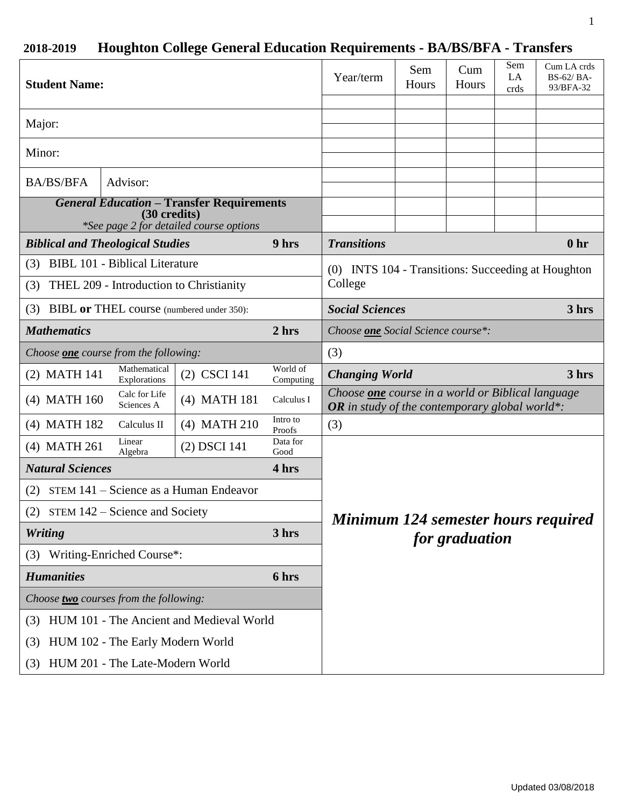# **2018-2019 Houghton College General Education Requirements - BA/BS/BFA - Transfers**

| <b>Student Name:</b>                                                                                        |                                       |                |                       | Year/term                                                                                                         | Sem<br>Hours | Cum<br>Hours | Sem<br>LA<br>crds | Cum LA crds<br>BS-62/BA-<br>93/BFA-32 |
|-------------------------------------------------------------------------------------------------------------|---------------------------------------|----------------|-----------------------|-------------------------------------------------------------------------------------------------------------------|--------------|--------------|-------------------|---------------------------------------|
| Major:                                                                                                      |                                       |                |                       |                                                                                                                   |              |              |                   |                                       |
| Minor:                                                                                                      |                                       |                |                       |                                                                                                                   |              |              |                   |                                       |
| <b>BA/BS/BFA</b>                                                                                            | Advisor:                              |                |                       |                                                                                                                   |              |              |                   |                                       |
| <b>General Education - Transfer Requirements</b><br>(30 credits)<br>*See page 2 for detailed course options |                                       |                |                       |                                                                                                                   |              |              |                   |                                       |
| <b>Biblical and Theological Studies</b>                                                                     |                                       |                | 9 hrs                 | <b>Transitions</b><br>0 <sub>hr</sub>                                                                             |              |              |                   |                                       |
| (3)                                                                                                         | <b>BIBL 101 - Biblical Literature</b> |                |                       | (0) INTS 104 - Transitions: Succeeding at Houghton                                                                |              |              |                   |                                       |
| THEL 209 - Introduction to Christianity<br>(3)                                                              |                                       |                |                       | College                                                                                                           |              |              |                   |                                       |
| (3) BIBL or THEL course (numbered under 350):                                                               |                                       |                |                       | <b>Social Sciences</b><br>3 hrs                                                                                   |              |              |                   |                                       |
| <b>Mathematics</b>                                                                                          |                                       |                | 2 hrs                 | Choose one Social Science course*:                                                                                |              |              |                   |                                       |
| Choose <b>one</b> course from the following:                                                                |                                       |                | (3)                   |                                                                                                                   |              |              |                   |                                       |
| (2) MATH 141                                                                                                | Mathematical<br>Explorations          | (2) CSCI 141   | World of<br>Computing | <b>Changing World</b>                                                                                             |              |              |                   | 3 hrs                                 |
| (4) MATH 160                                                                                                | Calc for Life<br>Sciences A           | (4) MATH 181   | Calculus I            | Choose <b>one</b> course in a world or Biblical language<br><b>OR</b> in study of the contemporary global world*: |              |              |                   |                                       |
| (4) MATH 182                                                                                                | Calculus II                           | $(4)$ MATH 210 | Intro to<br>Proofs    | (3)                                                                                                               |              |              |                   |                                       |
| (4) MATH 261                                                                                                | Linear<br>Algebra                     | (2) DSCI 141   | Data for<br>Good      |                                                                                                                   |              |              |                   |                                       |
| <b>Natural Sciences</b>                                                                                     |                                       |                | 4 hrs                 |                                                                                                                   |              |              |                   |                                       |
| STEM 141 – Science as a Human Endeavor<br>(2)                                                               |                                       |                |                       |                                                                                                                   |              |              |                   |                                       |
| (2) STEM $142$ – Science and Society                                                                        |                                       |                |                       | Minimum 124 semester hours required<br>for graduation                                                             |              |              |                   |                                       |
| <b>Writing</b>                                                                                              |                                       |                | 3 hrs                 |                                                                                                                   |              |              |                   |                                       |
| Writing-Enriched Course*:<br>(3)                                                                            |                                       |                |                       |                                                                                                                   |              |              |                   |                                       |
| <b>Humanities</b>                                                                                           |                                       |                | 6 hrs                 |                                                                                                                   |              |              |                   |                                       |
| Choose two courses from the following:                                                                      |                                       |                |                       |                                                                                                                   |              |              |                   |                                       |
| HUM 101 - The Ancient and Medieval World<br>(3)                                                             |                                       |                |                       |                                                                                                                   |              |              |                   |                                       |
| HUM 102 - The Early Modern World<br>(3)                                                                     |                                       |                |                       |                                                                                                                   |              |              |                   |                                       |
| (3)                                                                                                         | HUM 201 - The Late-Modern World       |                |                       |                                                                                                                   |              |              |                   |                                       |